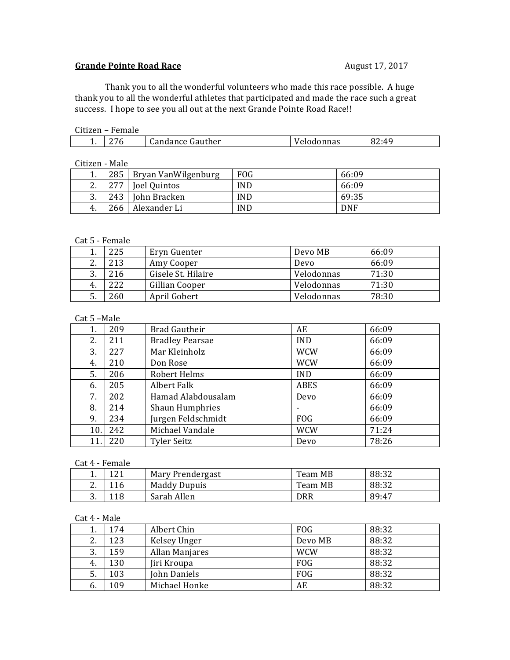# Grande Pointe Road Race **August 17, 2017**

Thank you to all the wonderful volunteers who made this race possible. A huge thank you to all the wonderful athletes that participated and made the race such a great success. I hope to see you all out at the next Grande Pointe Road Race!!

## Citizen – Female

| . .<br>. . | Gauther<br>Jandance ' | าททาด<br>поцопна в | - 4.C<br>04.T |
|------------|-----------------------|--------------------|---------------|
|------------|-----------------------|--------------------|---------------|

Citizen - Male

| . .           | 285 | Bryan VanWilgenburg | <b>FOG</b> | 66:09      |
|---------------|-----|---------------------|------------|------------|
| C<br><u>.</u> | つワワ | Joel Quintos        | <b>IND</b> | 66:09      |
| 3.            | 243 | John Bracken        | <b>IND</b> | 69:35      |
| 4.            | 266 | Alexander Li        | <b>IND</b> | <b>DNF</b> |

### Cat 5 - Female

|                | 225 | Eryn Guenter       | Devo MB    | 66:09 |
|----------------|-----|--------------------|------------|-------|
| C.<br><u>.</u> | 213 | Amy Cooper         | Devo       | 66:09 |
| 3.             | 216 | Gisele St. Hilaire | Velodonnas | 71:30 |
| 4.             | 222 | Gillian Cooper     | Velodonnas | 71:30 |
| .ບ.            | 260 | April Gobert       | Velodonnas | 78:30 |

## Cat 5 -Male

| 1.  | 209 | <b>Brad Gautheir</b>   | AE         | 66:09 |
|-----|-----|------------------------|------------|-------|
| 2.  | 211 | <b>Bradley Pearsae</b> | <b>IND</b> | 66:09 |
| 3.  | 227 | Mar Kleinholz          | <b>WCW</b> | 66:09 |
| 4.  | 210 | Don Rose               | <b>WCW</b> | 66:09 |
| 5.  | 206 | Robert Helms           | <b>IND</b> | 66:09 |
| 6.  | 205 | Albert Falk            | ABES       | 66:09 |
| 7.  | 202 | Hamad Alabdousalam     | Devo       | 66:09 |
| 8.  | 214 | <b>Shaun Humphries</b> |            | 66:09 |
| 9.  | 234 | Jurgen Feldschmidt     | <b>FOG</b> | 66:09 |
| 10. | 242 | Michael Vandale        | <b>WCW</b> | 71:24 |
|     | 220 | <b>Tyler Seitz</b>     | Devo       | 78:26 |

## Cat 4 - Female

| <b>.</b> | 121 | Mary Prendergast    | Team MB | 88:32 |
|----------|-----|---------------------|---------|-------|
| <u>.</u> |     | <b>Maddy Dupuis</b> | Team MB | 88:32 |
| .,       | 118 | Sarah Allen         | DRR     | 89:47 |

# Cat 4 - Male

|    | 174 | Albert Chin           | <b>FOG</b> | 88:32 |
|----|-----|-----------------------|------------|-------|
| 2. | 123 | Kelsey Unger          | Devo MB    | 88:32 |
| 3. | 159 | <b>Allan Manjares</b> | <b>WCW</b> | 88:32 |
| 4. | 130 | Jiri Kroupa           | <b>FOG</b> | 88:32 |
| 5. | 103 | John Daniels          | <b>FOG</b> | 88:32 |
| b. | 109 | Michael Honke         | AE         | 88:32 |